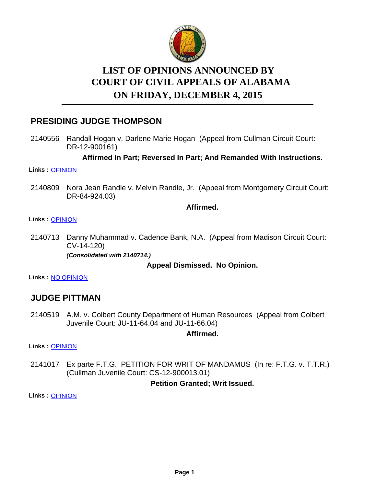

# **LIST OF OPINIONS ANNOUNCED BY ON FRIDAY, DECEMBER 4, 2015 COURT OF CIVIL APPEALS OF ALABAMA**

# **PRESIDING JUDGE THOMPSON**

2140556 Randall Hogan v. Darlene Marie Hogan (Appeal from Cullman Circuit Court: DR-12-900161)

**Affirmed In Part; Reversed In Part; And Remanded With Instructions.**

#### **Links :** [OPINION](https://acis.alabama.gov/displaydocs.cfm?no=701385&event=4IB0KQ2UE)

2140809 Nora Jean Randle v. Melvin Randle, Jr. (Appeal from Montgomery Circuit Court: DR-84-924.03)

### **Affirmed.**

### **Links :** [OPINION](https://acis.alabama.gov/displaydocs.cfm?no=701392&event=4IB0KQJSK)

2140713 Danny Muhammad v. Cadence Bank, N.A. (Appeal from Madison Circuit Court: CV-14-120)

*(Consolidated with 2140714.)*

## **Appeal Dismissed. No Opinion.**

**Links :** [NO OPINION](https://acis.alabama.gov/displaydocs.cfm?no=701405&event=4IB0KRELW)

# **JUDGE PITTMAN**

2140519 A.M. v. Colbert County Department of Human Resources (Appeal from Colbert Juvenile Court: JU-11-64.04 and JU-11-66.04)

### **Affirmed.**

**Links :** [OPINION](https://acis.alabama.gov/displaydocs.cfm?no=701384&event=4IB0KQ05T)

Ex parte F.T.G. PETITION FOR WRIT OF MANDAMUS (In re: F.T.G. v. T.T.R.) (Cullman Juvenile Court: CS-12-900013.01) 2141017

## **Petition Granted; Writ Issued.**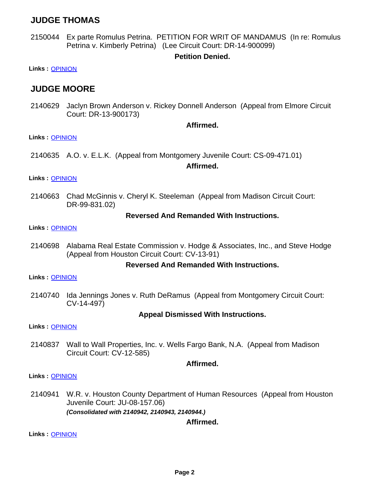# **JUDGE THOMAS**

Ex parte Romulus Petrina. PETITION FOR WRIT OF MANDAMUS (In re: Romulus Petrina v. Kimberly Petrina) (Lee Circuit Court: DR-14-900099) 2150044

### **Petition Denied.**

**Links :** [OPINION](https://acis.alabama.gov/displaydocs.cfm?no=701397&event=4IB0KQX6U)

# **JUDGE MOORE**

2140629 Jaclyn Brown Anderson v. Rickey Donnell Anderson (Appeal from Elmore Circuit Court: DR-13-900173)

#### **Affirmed.**

**Links :** [OPINION](https://acis.alabama.gov/displaydocs.cfm?no=701387&event=4IB0KQ71N)

2140635 A.O. v. E.L.K. (Appeal from Montgomery Juvenile Court: CS-09-471.01)

#### **Affirmed.**

**Links :** [OPINION](https://acis.alabama.gov/displaydocs.cfm?no=701388&event=4IB0KQ9FV)

2140663 Chad McGinnis v. Cheryl K. Steeleman (Appeal from Madison Circuit Court: DR-99-831.02)

#### **Reversed And Remanded With Instructions.**

**Links :** [OPINION](https://acis.alabama.gov/displaydocs.cfm?no=701389&event=4IB0KQCCC)

2140698 Alabama Real Estate Commission v. Hodge & Associates, Inc., and Steve Hodge (Appeal from Houston Circuit Court: CV-13-91)

#### **Reversed And Remanded With Instructions.**

**Links :** [OPINION](https://acis.alabama.gov/displaydocs.cfm?no=701390&event=4IB0KQESQ)

2140740 Ida Jennings Jones v. Ruth DeRamus (Appeal from Montgomery Circuit Court: CV-14-497)

#### **Appeal Dismissed With Instructions.**

**Links :** [OPINION](https://acis.alabama.gov/displaydocs.cfm?no=701391&event=4IB0KQHBB)

2140837 Wall to Wall Properties, Inc. v. Wells Fargo Bank, N.A. (Appeal from Madison Circuit Court: CV-12-585)

#### **Affirmed.**

**Links :** [OPINION](https://acis.alabama.gov/displaydocs.cfm?no=701393&event=4IB0KQLY5)

W.R. v. Houston County Department of Human Resources (Appeal from Houston Juvenile Court: JU-08-157.06) *(Consolidated with 2140942, 2140943, 2140944.)* 2140941

#### **Affirmed.**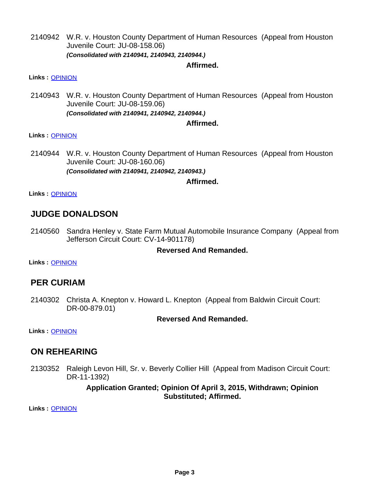2140942 W.R. v. Houston County Department of Human Resources (Appeal from Houston Juvenile Court: JU-08-158.06) *(Consolidated with 2140941, 2140943, 2140944.)*

#### **Affirmed.**

**Links :** [OPINION](https://acis.alabama.gov/displaydocs.cfm?no=701395&event=4IB0KQQYT)

2140943 W.R. v. Houston County Department of Human Resources (Appeal from Houston Juvenile Court: JU-08-159.06) *(Consolidated with 2140941, 2140942, 2140944.)*

#### **Affirmed.**

#### **Links :** [OPINION](https://acis.alabama.gov/displaydocs.cfm?no=701395&event=4IB0KQQYT)

2140944 W.R. v. Houston County Department of Human Resources (Appeal from Houston Juvenile Court: JU-08-160.06) *(Consolidated with 2140941, 2140942, 2140943.)*

#### **Affirmed.**

**Links :** [OPINION](https://acis.alabama.gov/displaydocs.cfm?no=701395&event=4IB0KQQYT)

# **JUDGE DONALDSON**

2140560 Sandra Henley v. State Farm Mutual Automobile Insurance Company (Appeal from Jefferson Circuit Court: CV-14-901178)

### **Reversed And Remanded.**

**Links :** [OPINION](https://acis.alabama.gov/displaydocs.cfm?no=701386&event=4IB0KQ5GV)

# **PER CURIAM**

2140302 Christa A. Knepton v. Howard L. Knepton (Appeal from Baldwin Circuit Court: DR-00-879.01)

### **Reversed And Remanded.**

**Links :** [OPINION](https://acis.alabama.gov/displaydocs.cfm?no=701383&event=4IB0KPXOI)

# **ON REHEARING**

2130352 Raleigh Levon Hill, Sr. v. Beverly Collier Hill (Appeal from Madison Circuit Court: DR-11-1392)

### **Application Granted; Opinion Of April 3, 2015, Withdrawn; Opinion Substituted; Affirmed.**